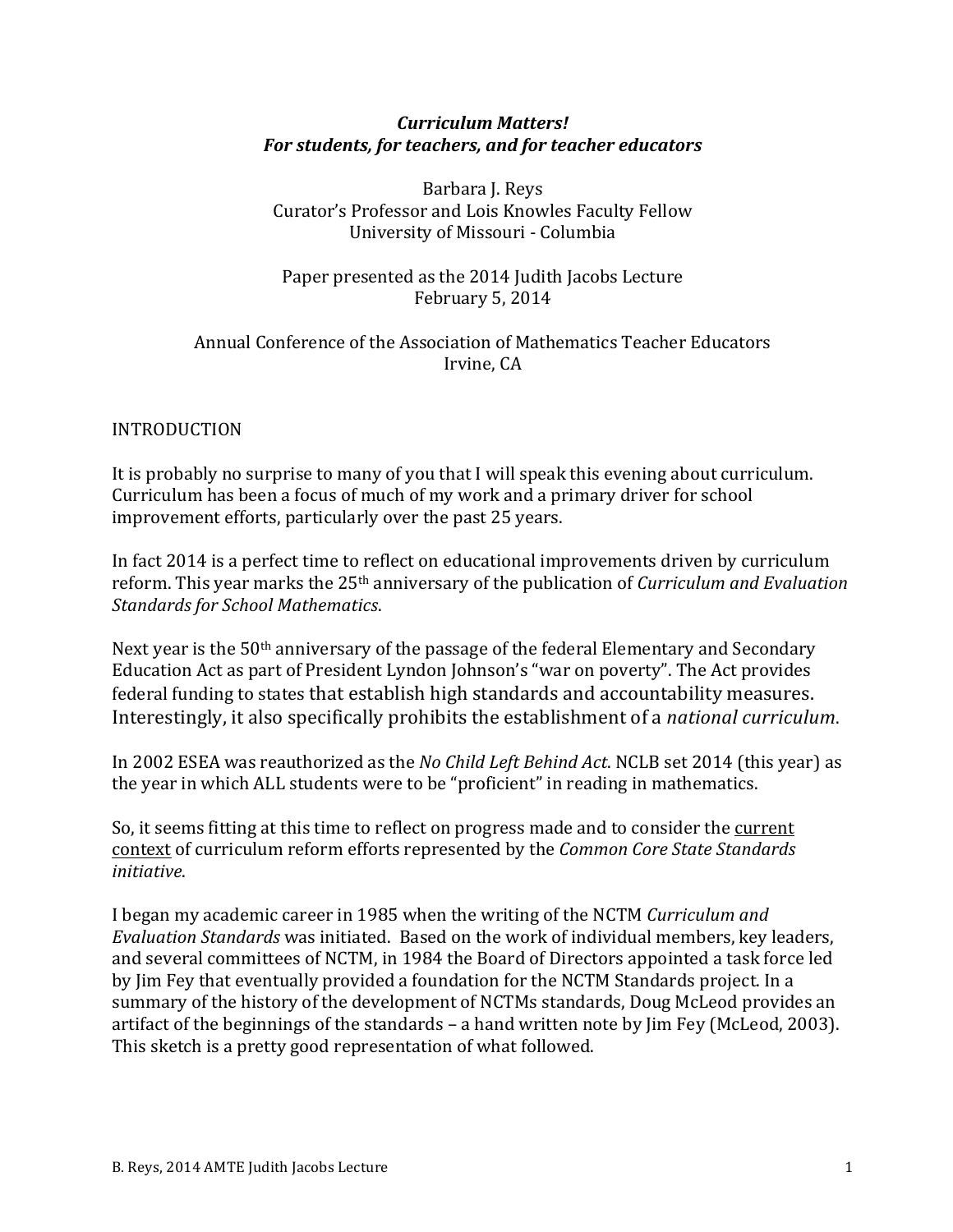#### *Curriculum Matters!* For students, for teachers, and for teacher educators

Barbara J. Reys Curator's Professor and Lois Knowles Faculty Fellow University of Missouri - Columbia

Paper presented as the 2014 Judith Jacobs Lecture February 5, 2014

#### Annual Conference of the Association of Mathematics Teacher Educators Irvine, CA

#### INTRODUCTION

It is probably no surprise to many of you that I will speak this evening about curriculum. Curriculum has been a focus of much of my work and a primary driver for school improvement efforts, particularly over the past 25 years.

In fact 2014 is a perfect time to reflect on educational improvements driven by curriculum reform. This year marks the 25<sup>th</sup> anniversary of the publication of *Curriculum and Evaluation Standards for School Mathematics*.

Next year is the  $50<sup>th</sup>$  anniversary of the passage of the federal Elementary and Secondary Education Act as part of President Lyndon Johnson's "war on poverty". The Act provides federal funding to states that establish high standards and accountability measures. Interestingly, it also specifically prohibits the establishment of a *national curriculum*.

In 2002 ESEA was reauthorized as the *No Child Left Behind Act*. NCLB set 2014 (this year) as the year in which ALL students were to be "proficient" in reading in mathematics.

So, it seems fitting at this time to reflect on progress made and to consider the current context of curriculum reform efforts represented by the *Common Core State Standards initiative*.

I began my academic career in 1985 when the writing of the NCTM *Curriculum and Evaluation Standards* was initiated. Based on the work of individual members, key leaders, and several committees of NCTM, in 1984 the Board of Directors appointed a task force led by lim Fey that eventually provided a foundation for the NCTM Standards project. In a summary of the history of the development of NCTMs standards, Doug McLeod provides an artifact of the beginnings of the standards – a hand written note by  $\lim$  Fey (McLeod, 2003). This sketch is a pretty good representation of what followed.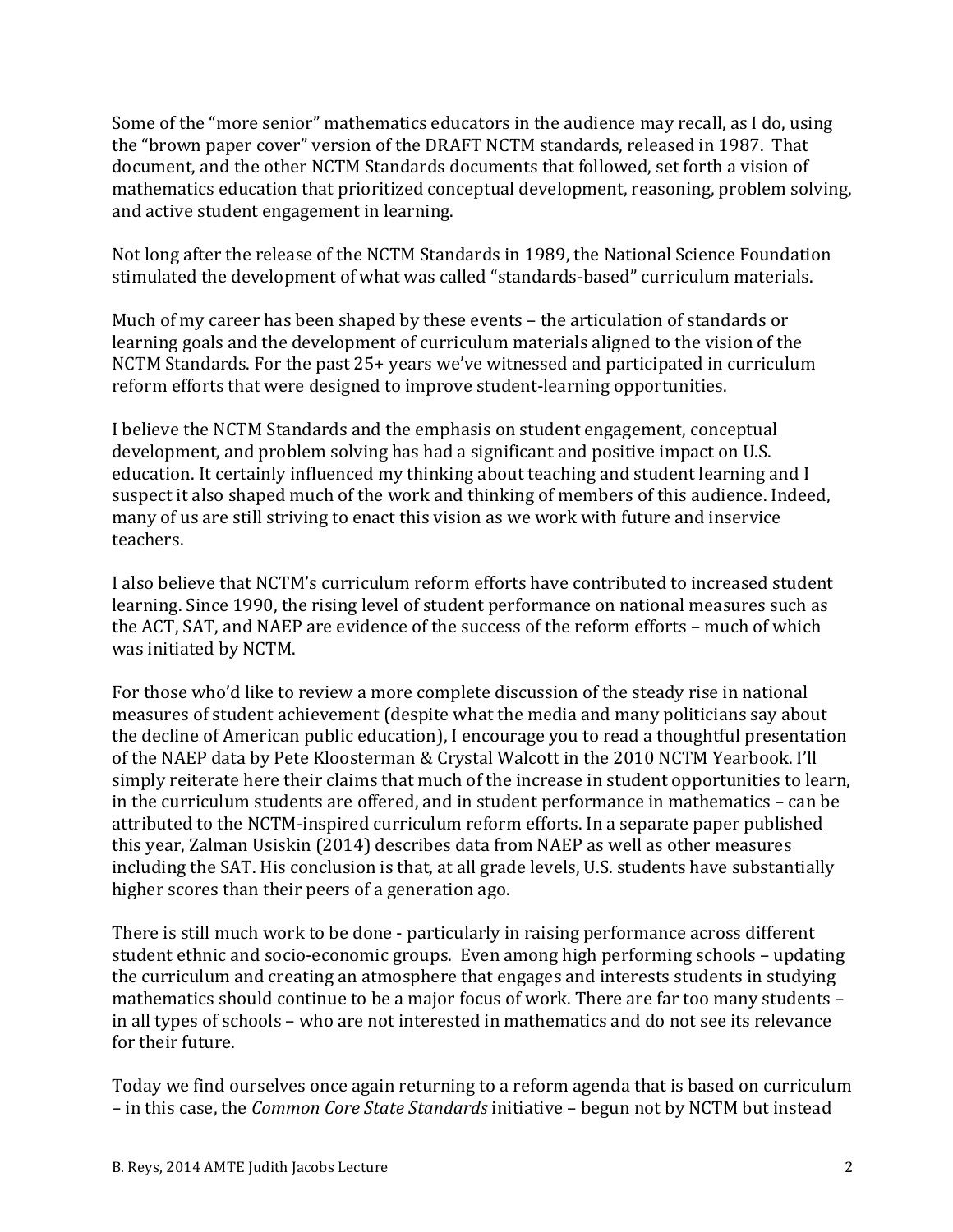Some of the "more senior" mathematics educators in the audience may recall, as I do, using the "brown paper cover" version of the DRAFT NCTM standards, released in 1987. That document, and the other NCTM Standards documents that followed, set forth a vision of mathematics education that prioritized conceptual development, reasoning, problem solving, and active student engagement in learning.

Not long after the release of the NCTM Standards in 1989, the National Science Foundation stimulated the development of what was called "standards-based" curriculum materials.

Much of my career has been shaped by these events – the articulation of standards or learning goals and the development of curriculum materials aligned to the vision of the NCTM Standards. For the past 25+ years we've witnessed and participated in curriculum reform efforts that were designed to improve student-learning opportunities.

I believe the NCTM Standards and the emphasis on student engagement, conceptual development, and problem solving has had a significant and positive impact on U.S. education. It certainly influenced my thinking about teaching and student learning and I suspect it also shaped much of the work and thinking of members of this audience. Indeed, many of us are still striving to enact this vision as we work with future and inservice teachers. 

I also believe that NCTM's curriculum reform efforts have contributed to increased student learning. Since 1990, the rising level of student performance on national measures such as the ACT, SAT, and NAEP are evidence of the success of the reform efforts – much of which was initiated by NCTM.

For those who'd like to review a more complete discussion of the steady rise in national measures of student achievement (despite what the media and many politicians say about the decline of American public education), I encourage you to read a thoughtful presentation of the NAEP data by Pete Kloosterman & Crystal Walcott in the 2010 NCTM Yearbook. I'll simply reiterate here their claims that much of the increase in student opportunities to learn, in the curriculum students are offered, and in student performance in mathematics – can be attributed to the NCTM-inspired curriculum reform efforts. In a separate paper published this year, Zalman Usiskin (2014) describes data from NAEP as well as other measures including the SAT. His conclusion is that, at all grade levels, U.S. students have substantially higher scores than their peers of a generation ago.

There is still much work to be done - particularly in raising performance across different student ethnic and socio-economic groups. Even among high performing schools – updating the curriculum and creating an atmosphere that engages and interests students in studying mathematics should continue to be a major focus of work. There are far too many students in all types of schools – who are not interested in mathematics and do not see its relevance for their future.

Today we find ourselves once again returning to a reform agenda that is based on curriculum – in this case, the *Common Core State Standards* initiative – begun not by NCTM but instead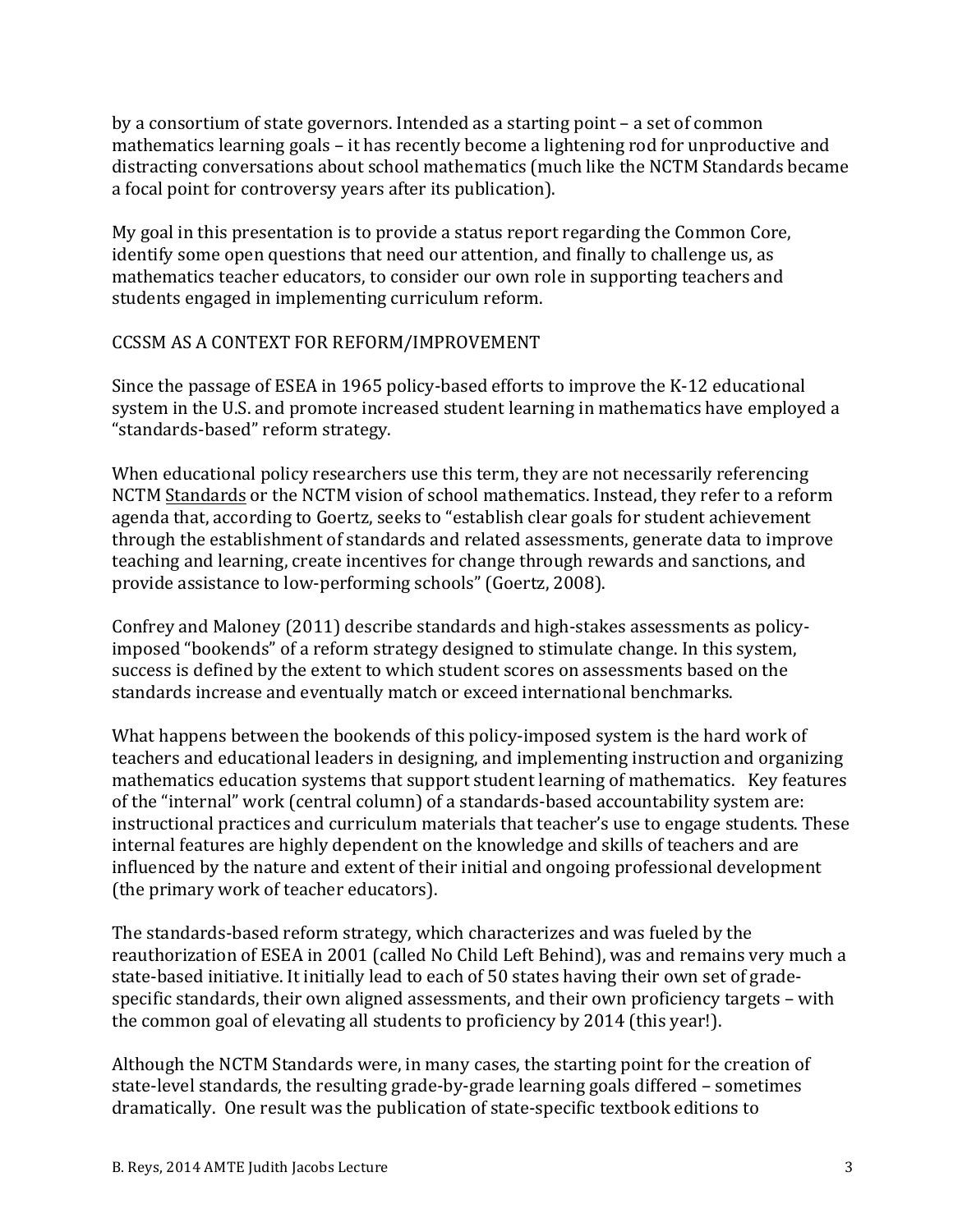by a consortium of state governors. Intended as a starting point  $-$  a set of common mathematics learning goals  $-$  it has recently become a lightening rod for unproductive and distracting conversations about school mathematics (much like the NCTM Standards became a focal point for controversy years after its publication).

My goal in this presentation is to provide a status report regarding the Common Core, identify some open questions that need our attention, and finally to challenge us, as mathematics teacher educators, to consider our own role in supporting teachers and students engaged in implementing curriculum reform.

#### CCSSM AS A CONTEXT FOR REFORM/IMPROVEMENT

Since the passage of ESEA in 1965 policy-based efforts to improve the K-12 educational system in the U.S. and promote increased student learning in mathematics have employed a "standards-based" reform strategy.

When educational policy researchers use this term, they are not necessarily referencing NCTM Standards or the NCTM vision of school mathematics. Instead, they refer to a reform agenda that, according to Goertz, seeks to "establish clear goals for student achievement through the establishment of standards and related assessments, generate data to improve teaching and learning, create incentives for change through rewards and sanctions, and provide assistance to low-performing schools" (Goertz, 2008).

Confrey and Maloney (2011) describe standards and high-stakes assessments as policyimposed "bookends" of a reform strategy designed to stimulate change. In this system, success is defined by the extent to which student scores on assessments based on the standards increase and eventually match or exceed international benchmarks.

What happens between the bookends of this policy-imposed system is the hard work of teachers and educational leaders in designing, and implementing instruction and organizing mathematics education systems that support student learning of mathematics. Key features of the "internal" work (central column) of a standards-based accountability system are: instructional practices and curriculum materials that teacher's use to engage students. These internal features are highly dependent on the knowledge and skills of teachers and are influenced by the nature and extent of their initial and ongoing professional development (the primary work of teacher educators).

The standards-based reform strategy, which characterizes and was fueled by the reauthorization of ESEA in 2001 (called No Child Left Behind), was and remains very much a state-based initiative. It initially lead to each of 50 states having their own set of gradespecific standards, their own aligned assessments, and their own proficiency targets – with the common goal of elevating all students to proficiency by 2014 (this year!).

Although the NCTM Standards were, in many cases, the starting point for the creation of state-level standards, the resulting grade-by-grade learning goals differed – sometimes dramatically. One result was the publication of state-specific textbook editions to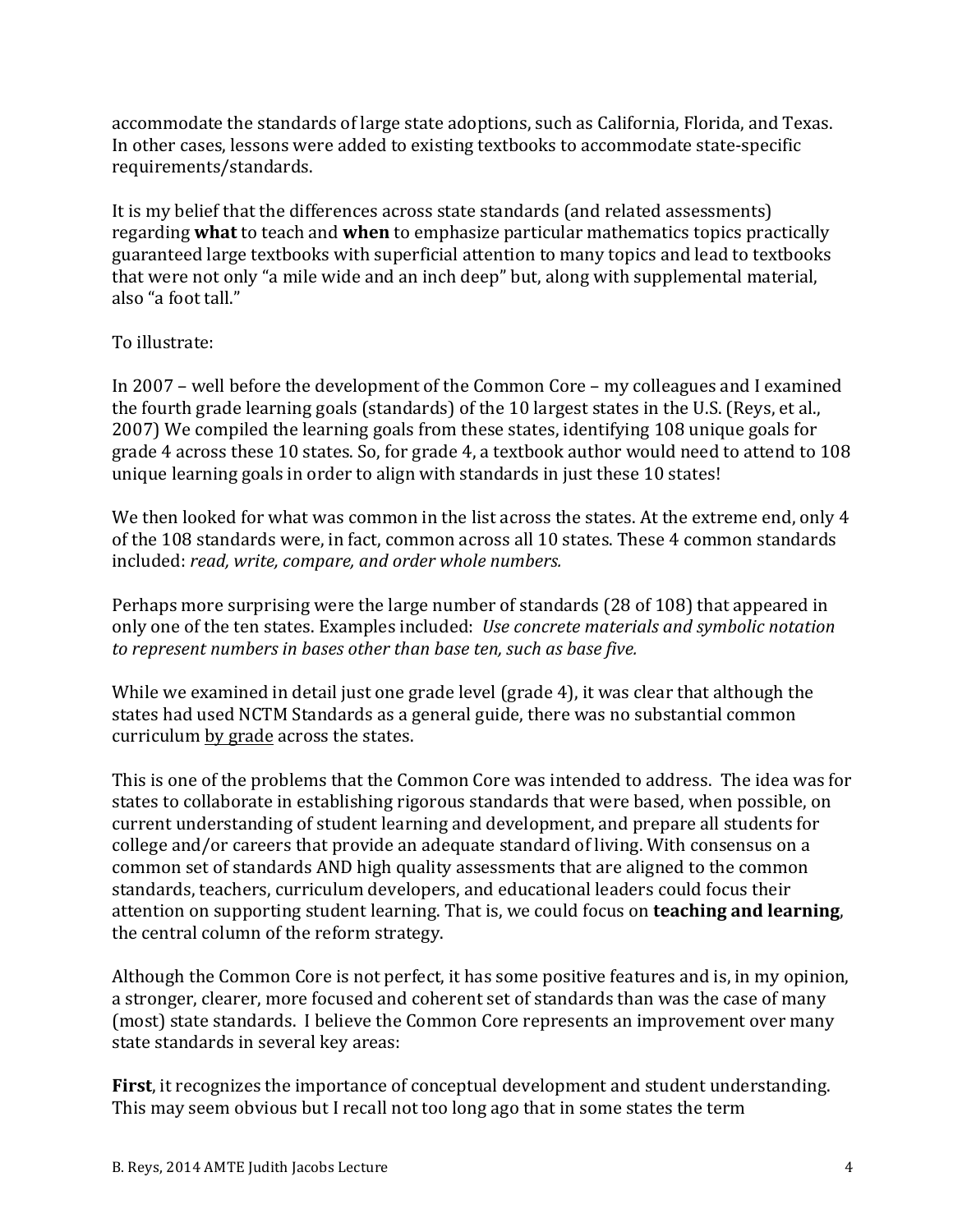accommodate the standards of large state adoptions, such as California, Florida, and Texas. In other cases, lessons were added to existing textbooks to accommodate state-specific requirements/standards.

It is my belief that the differences across state standards (and related assessments) regarding **what** to teach and **when** to emphasize particular mathematics topics practically guaranteed large textbooks with superficial attention to many topics and lead to textbooks that were not only "a mile wide and an inch deep" but, along with supplemental material, also "a foot tall."

### To illustrate:

In  $2007$  – well before the development of the Common Core – my colleagues and I examined the fourth grade learning goals (standards) of the 10 largest states in the U.S. (Reys, et al., 2007) We compiled the learning goals from these states, identifying 108 unique goals for grade 4 across these 10 states. So, for grade 4, a textbook author would need to attend to 108 unique learning goals in order to align with standards in just these 10 states!

We then looked for what was common in the list across the states. At the extreme end, only 4 of the 108 standards were, in fact, common across all 10 states. These 4 common standards included: *read, write, compare, and order whole numbers.* 

Perhaps more surprising were the large number of standards (28 of 108) that appeared in only one of the ten states. Examples included: *Use concrete materials and symbolic notation* to represent numbers in bases other than base ten, such as base five.

While we examined in detail just one grade level (grade 4), it was clear that although the states had used NCTM Standards as a general guide, there was no substantial common curriculum by grade across the states.

This is one of the problems that the Common Core was intended to address. The idea was for states to collaborate in establishing rigorous standards that were based, when possible, on current understanding of student learning and development, and prepare all students for college and/or careers that provide an adequate standard of living. With consensus on a common set of standards AND high quality assessments that are aligned to the common standards, teachers, curriculum developers, and educational leaders could focus their attention on supporting student learning. That is, we could focus on **teaching and learning**, the central column of the reform strategy.

Although the Common Core is not perfect, it has some positive features and is, in my opinion, a stronger, clearer, more focused and coherent set of standards than was the case of many (most) state standards. I believe the Common Core represents an improvement over many state standards in several key areas:

**First**, it recognizes the importance of conceptual development and student understanding. This may seem obvious but I recall not too long ago that in some states the term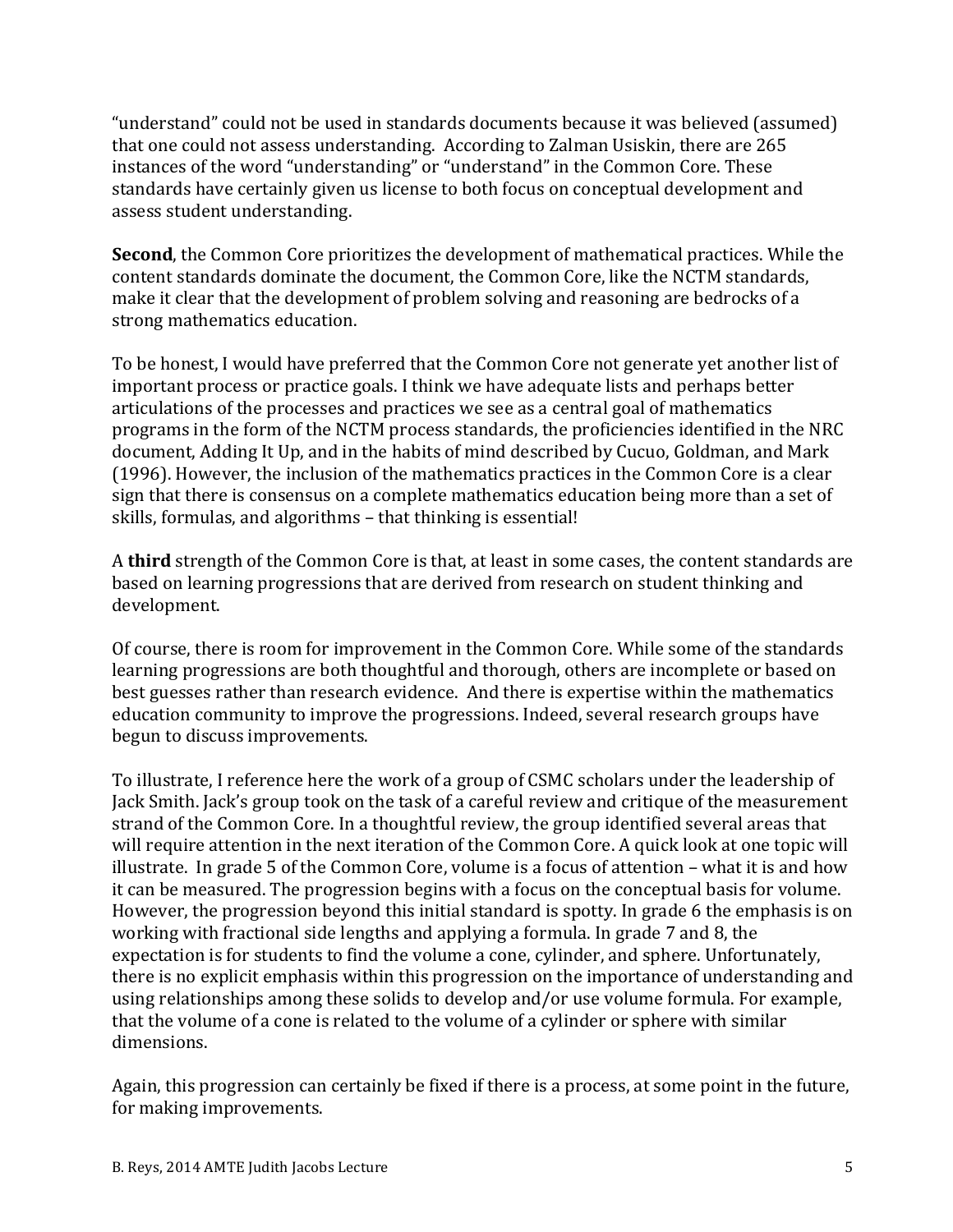"understand" could not be used in standards documents because it was believed (assumed) that one could not assess understanding. According to Zalman Usiskin, there are 265 instances of the word "understanding" or "understand" in the Common Core. These standards have certainly given us license to both focus on conceptual development and assess student understanding.

**Second**, the Common Core prioritizes the development of mathematical practices. While the content standards dominate the document, the Common Core, like the NCTM standards, make it clear that the development of problem solving and reasoning are bedrocks of a strong mathematics education.

To be honest, I would have preferred that the Common Core not generate yet another list of important process or practice goals. I think we have adequate lists and perhaps better articulations of the processes and practices we see as a central goal of mathematics programs in the form of the NCTM process standards, the proficiencies identified in the NRC document, Adding It Up, and in the habits of mind described by Cucuo, Goldman, and Mark (1996). However, the inclusion of the mathematics practices in the Common Core is a clear sign that there is consensus on a complete mathematics education being more than a set of skills, formulas, and algorithms - that thinking is essential!

A **third** strength of the Common Core is that, at least in some cases, the content standards are based on learning progressions that are derived from research on student thinking and development.

Of course, there is room for improvement in the Common Core. While some of the standards learning progressions are both thoughtful and thorough, others are incomplete or based on best guesses rather than research evidence. And there is expertise within the mathematics education community to improve the progressions. Indeed, several research groups have begun to discuss improvements.

To illustrate, I reference here the work of a group of CSMC scholars under the leadership of Jack Smith. Jack's group took on the task of a careful review and critique of the measurement strand of the Common Core. In a thoughtful review, the group identified several areas that will require attention in the next iteration of the Common Core. A quick look at one topic will illustrate. In grade 5 of the Common Core, volume is a focus of attention  $-$  what it is and how it can be measured. The progression begins with a focus on the conceptual basis for volume. However, the progression beyond this initial standard is spotty. In grade 6 the emphasis is on working with fractional side lengths and applying a formula. In grade 7 and 8, the expectation is for students to find the volume a cone, cylinder, and sphere. Unfortunately, there is no explicit emphasis within this progression on the importance of understanding and using relationships among these solids to develop and/or use volume formula. For example, that the volume of a cone is related to the volume of a cylinder or sphere with similar dimensions.

Again, this progression can certainly be fixed if there is a process, at some point in the future, for making improvements.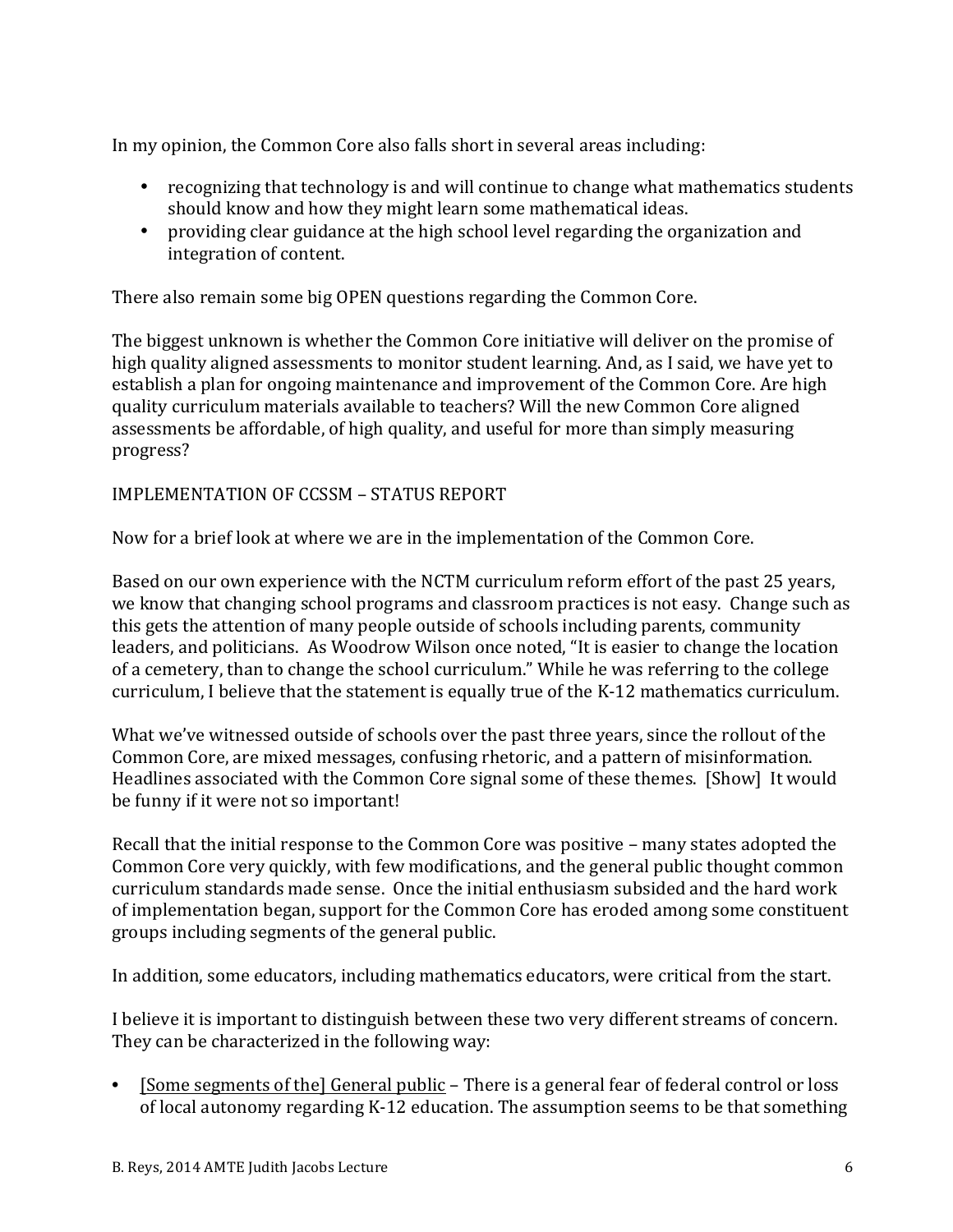In my opinion, the Common Core also falls short in several areas including:

- recognizing that technology is and will continue to change what mathematics students should know and how they might learn some mathematical ideas.
- providing clear guidance at the high school level regarding the organization and integration of content.

There also remain some big OPEN questions regarding the Common Core.

The biggest unknown is whether the Common Core initiative will deliver on the promise of high quality aligned assessments to monitor student learning. And, as I said, we have yet to establish a plan for ongoing maintenance and improvement of the Common Core. Are high quality curriculum materials available to teachers? Will the new Common Core aligned assessments be affordable, of high quality, and useful for more than simply measuring progress?

### IMPLEMENTATION OF CCSSM - STATUS REPORT

Now for a brief look at where we are in the implementation of the Common Core.

Based on our own experience with the NCTM curriculum reform effort of the past 25 years, we know that changing school programs and classroom practices is not easy. Change such as this gets the attention of many people outside of schools including parents, community leaders, and politicians. As Woodrow Wilson once noted, "It is easier to change the location of a cemetery, than to change the school curriculum." While he was referring to the college curriculum, I believe that the statement is equally true of the K-12 mathematics curriculum.

What we've witnessed outside of schools over the past three years, since the rollout of the Common Core, are mixed messages, confusing rhetoric, and a pattern of misinformation. Headlines associated with the Common Core signal some of these themes. [Show] It would be funny if it were not so important!

Recall that the initial response to the Common Core was positive – many states adopted the Common Core very quickly, with few modifications, and the general public thought common curriculum standards made sense. Once the initial enthusiasm subsided and the hard work of implementation began, support for the Common Core has eroded among some constituent groups including segments of the general public.

In addition, some educators, including mathematics educators, were critical from the start.

I believe it is important to distinguish between these two very different streams of concern. They can be characterized in the following way:

• [Some segments of the] General public – There is a general fear of federal control or loss of local autonomy regarding K-12 education. The assumption seems to be that something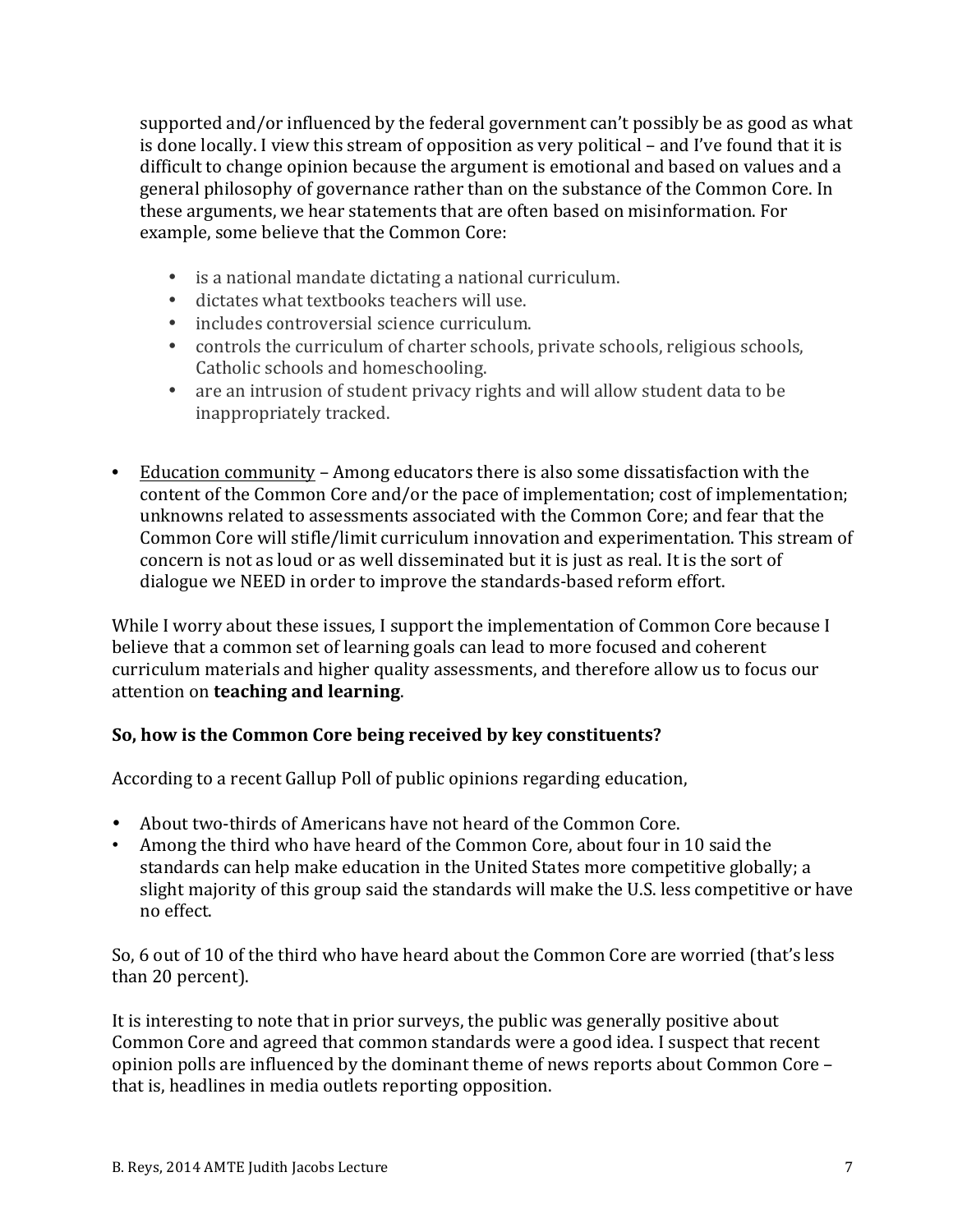supported and/or influenced by the federal government can't possibly be as good as what is done locally. I view this stream of opposition as very political – and I've found that it is difficult to change opinion because the argument is emotional and based on values and a general philosophy of governance rather than on the substance of the Common Core. In these arguments, we hear statements that are often based on misinformation. For example, some believe that the Common Core:

- is a national mandate dictating a national curriculum.
- dictates what textbooks teachers will use.
- includes controversial science curriculum.
- controls the curriculum of charter schools, private schools, religious schools, Catholic schools and homeschooling.
- are an intrusion of student privacy rights and will allow student data to be inappropriately tracked.
- Education community Among educators there is also some dissatisfaction with the content of the Common Core and/or the pace of implementation; cost of implementation; unknowns related to assessments associated with the Common Core; and fear that the Common Core will stifle/limit curriculum innovation and experimentation. This stream of concern is not as loud or as well disseminated but it is just as real. It is the sort of dialogue we NEED in order to improve the standards-based reform effort.

While I worry about these issues, I support the implementation of Common Core because I believe that a common set of learning goals can lead to more focused and coherent curriculum materials and higher quality assessments, and therefore allow us to focus our attention on **teaching** and learning.

# So, how is the Common Core being received by key constituents?

According to a recent Gallup Poll of public opinions regarding education,

- About two-thirds of Americans have not heard of the Common Core.
- Among the third who have heard of the Common Core, about four in 10 said the standards can help make education in the United States more competitive globally; a slight majority of this group said the standards will make the U.S. less competitive or have no effect.

So, 6 out of 10 of the third who have heard about the Common Core are worried (that's less than 20 percent).

It is interesting to note that in prior surveys, the public was generally positive about Common Core and agreed that common standards were a good idea. I suspect that recent opinion polls are influenced by the dominant theme of news reports about Common Core – that is, headlines in media outlets reporting opposition.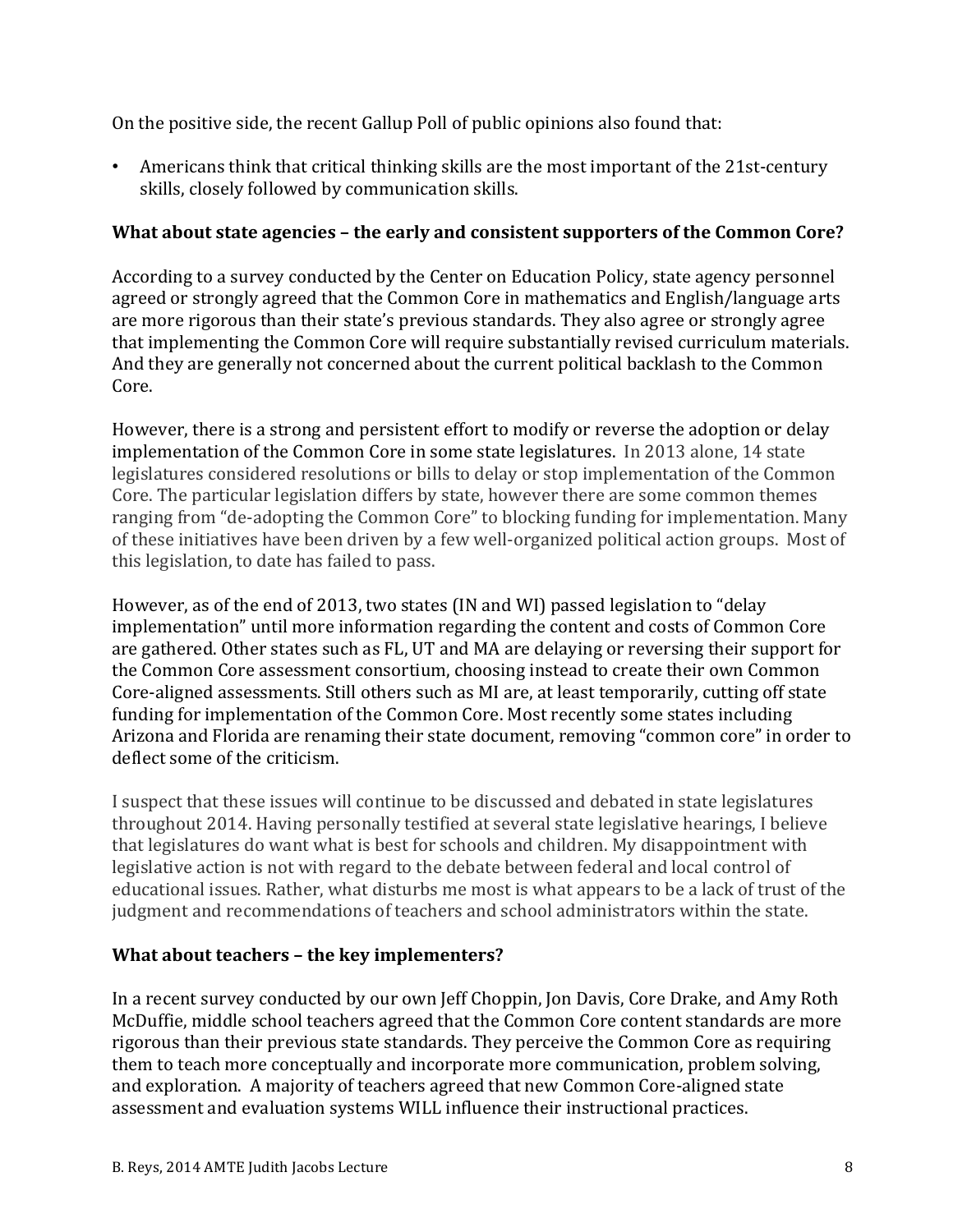On the positive side, the recent Gallup Poll of public opinions also found that:

• Americans think that critical thinking skills are the most important of the 21st-century skills, closely followed by communication skills.

### **What about state agencies – the early and consistent supporters of the Common Core?**

According to a survey conducted by the Center on Education Policy, state agency personnel agreed or strongly agreed that the Common Core in mathematics and English/language arts are more rigorous than their state's previous standards. They also agree or strongly agree that implementing the Common Core will require substantially revised curriculum materials. And they are generally not concerned about the current political backlash to the Common Core.

However, there is a strong and persistent effort to modify or reverse the adoption or delay implementation of the Common Core in some state legislatures. In 2013 alone, 14 state legislatures considered resolutions or bills to delay or stop implementation of the Common Core. The particular legislation differs by state, however there are some common themes ranging from "de-adopting the Common Core" to blocking funding for implementation. Many of these initiatives have been driven by a few well-organized political action groups. Most of this legislation, to date has failed to pass.

However, as of the end of 2013, two states (IN and WI) passed legislation to "delay implementation" until more information regarding the content and costs of Common Core are gathered. Other states such as FL, UT and MA are delaying or reversing their support for the Common Core assessment consortium, choosing instead to create their own Common Core-aligned assessments. Still others such as MI are, at least temporarily, cutting off state funding for implementation of the Common Core. Most recently some states including Arizona and Florida are renaming their state document, removing "common core" in order to deflect some of the criticism.

I suspect that these issues will continue to be discussed and debated in state legislatures throughout 2014. Having personally testified at several state legislative hearings, I believe that legislatures do want what is best for schools and children. My disappointment with legislative action is not with regard to the debate between federal and local control of educational issues. Rather, what disturbs me most is what appears to be a lack of trust of the judgment and recommendations of teachers and school administrators within the state.

## **What about teachers - the key implementers?**

In a recent survey conducted by our own Jeff Choppin, Jon Davis, Core Drake, and Amy Roth McDuffie, middle school teachers agreed that the Common Core content standards are more rigorous than their previous state standards. They perceive the Common Core as requiring them to teach more conceptually and incorporate more communication, problem solving, and exploration. A majority of teachers agreed that new Common Core-aligned state assessment and evaluation systems WILL influence their instructional practices.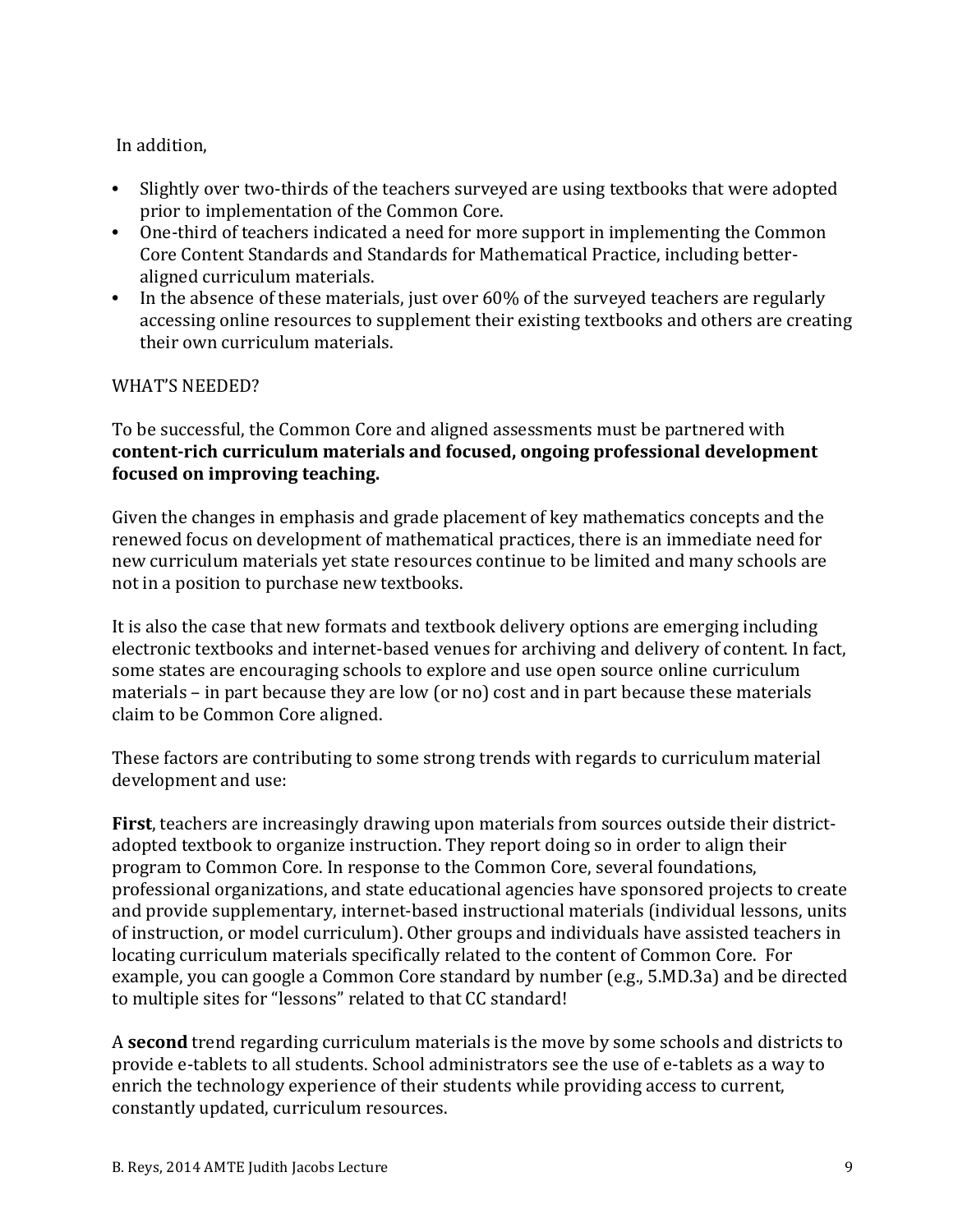## In addition,

- Slightly over two-thirds of the teachers surveyed are using textbooks that were adopted prior to implementation of the Common Core.
- One-third of teachers indicated a need for more support in implementing the Common Core Content Standards and Standards for Mathematical Practice, including betteraligned curriculum materials.
- In the absence of these materials, just over 60% of the surveyed teachers are regularly accessing online resources to supplement their existing textbooks and others are creating their own curriculum materials.

## WHAT'S NEEDED?

To be successful, the Common Core and aligned assessments must be partnered with **content-rich curriculum materials and focused, ongoing professional development focused on improving teaching.** 

Given the changes in emphasis and grade placement of key mathematics concepts and the renewed focus on development of mathematical practices, there is an immediate need for new curriculum materials yet state resources continue to be limited and many schools are not in a position to purchase new textbooks.

It is also the case that new formats and textbook delivery options are emerging including electronic textbooks and internet-based venues for archiving and delivery of content. In fact, some states are encouraging schools to explore and use open source online curriculum materials  $-$  in part because they are low (or no) cost and in part because these materials claim to be Common Core aligned.

These factors are contributing to some strong trends with regards to curriculum material development and use:

**First**, teachers are increasingly drawing upon materials from sources outside their districtadopted textbook to organize instruction. They report doing so in order to align their program to Common Core. In response to the Common Core, several foundations, professional organizations, and state educational agencies have sponsored projects to create and provide supplementary, internet-based instructional materials (individual lessons, units of instruction, or model curriculum). Other groups and individuals have assisted teachers in locating curriculum materials specifically related to the content of Common Core. For example, you can google a Common Core standard by number (e.g., 5.MD.3a) and be directed to multiple sites for "lessons" related to that CC standard!

A **second** trend regarding curriculum materials is the move by some schools and districts to provide e-tablets to all students. School administrators see the use of e-tablets as a way to enrich the technology experience of their students while providing access to current, constantly updated, curriculum resources.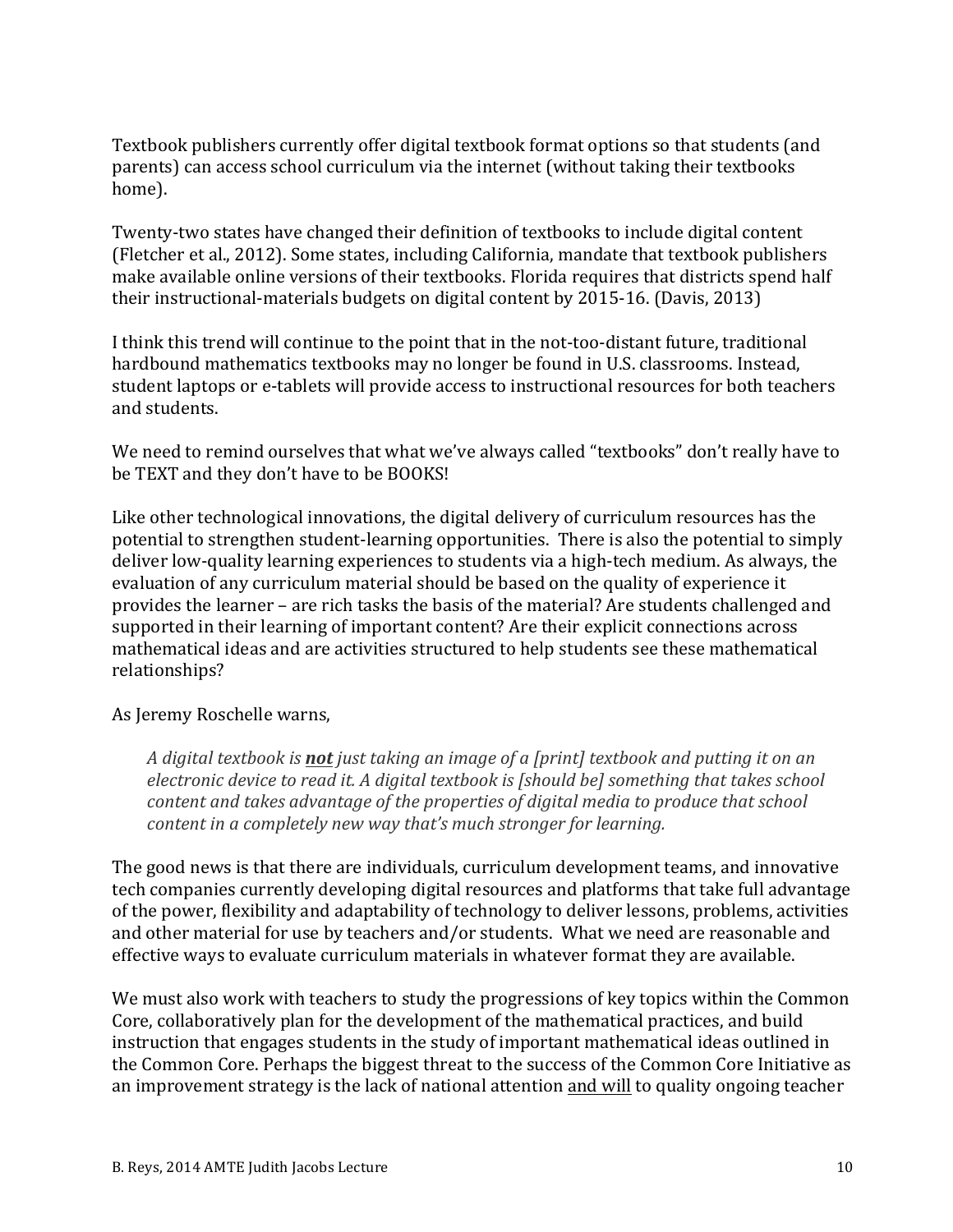Textbook publishers currently offer digital textbook format options so that students (and parents) can access school curriculum via the internet (without taking their textbooks home). 

Twenty-two states have changed their definition of textbooks to include digital content (Fletcher et al., 2012). Some states, including California, mandate that textbook publishers make available online versions of their textbooks. Florida requires that districts spend half their instructional-materials budgets on digital content by  $2015-16$ . (Davis, 2013)

I think this trend will continue to the point that in the not-too-distant future, traditional hardbound mathematics textbooks may no longer be found in U.S. classrooms. Instead, student laptops or e-tablets will provide access to instructional resources for both teachers and students.

We need to remind ourselves that what we've always called "textbooks" don't really have to be TEXT and they don't have to be BOOKS!

Like other technological innovations, the digital delivery of curriculum resources has the potential to strengthen student-learning opportunities. There is also the potential to simply deliver low-quality learning experiences to students via a high-tech medium. As always, the evaluation of any curriculum material should be based on the quality of experience it provides the learner – are rich tasks the basis of the material? Are students challenged and supported in their learning of important content? Are their explicit connections across mathematical ideas and are activities structured to help students see these mathematical relationships? 

#### As Jeremy Roschelle warns,

A digital textbook is **not** just taking an image of a [print] textbook and putting it on an *electronic device to read it. A digital textbook is [should be] something that takes school content and takes advantage of the properties of digital media to produce that school content in a completely new way that's much stronger for learning.* 

The good news is that there are individuals, curriculum development teams, and innovative tech companies currently developing digital resources and platforms that take full advantage of the power, flexibility and adaptability of technology to deliver lessons, problems, activities and other material for use by teachers and/or students. What we need are reasonable and effective ways to evaluate curriculum materials in whatever format they are available.

We must also work with teachers to study the progressions of key topics within the Common Core, collaboratively plan for the development of the mathematical practices, and build instruction that engages students in the study of important mathematical ideas outlined in the Common Core. Perhaps the biggest threat to the success of the Common Core Initiative as an improvement strategy is the lack of national attention and will to quality ongoing teacher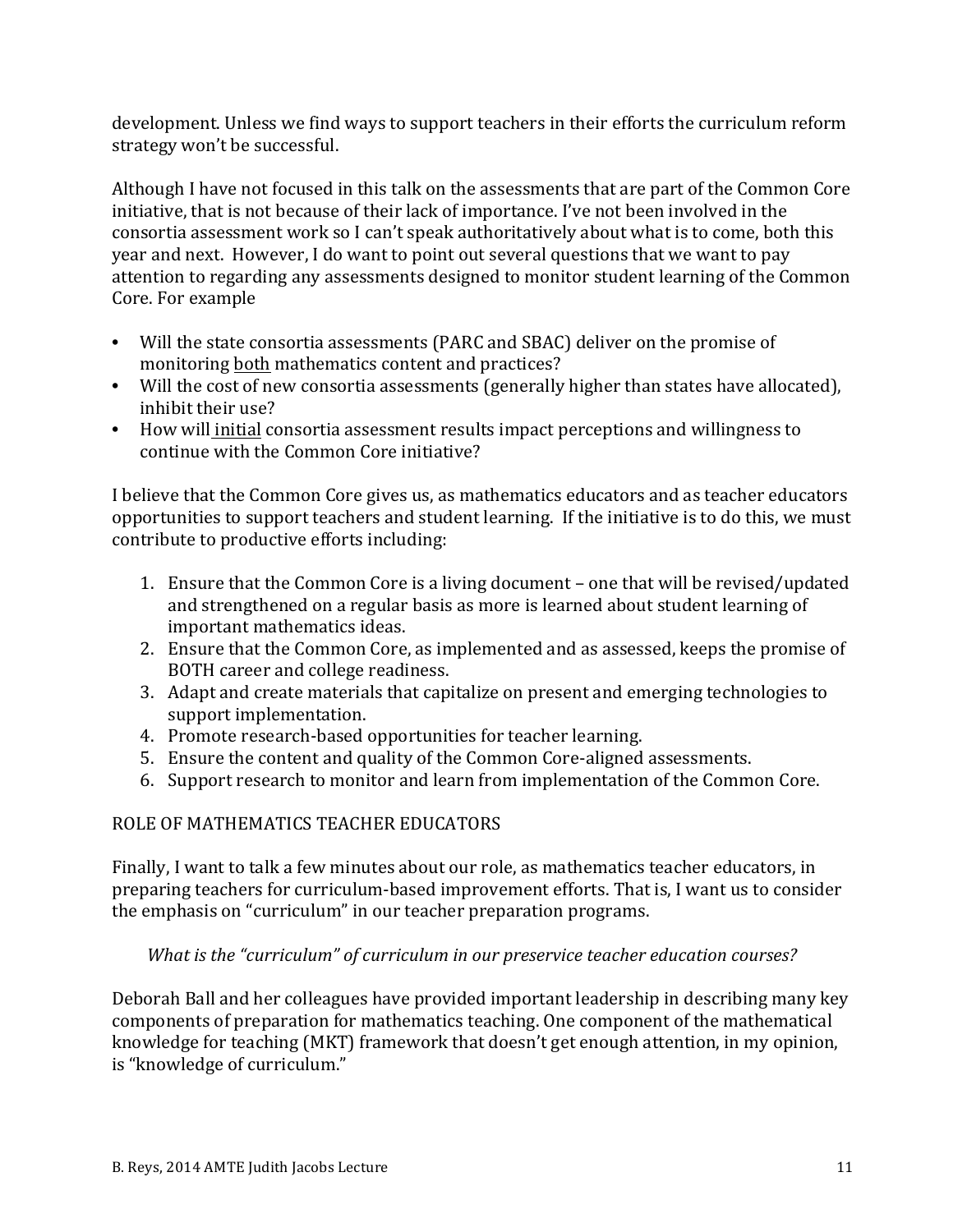development. Unless we find ways to support teachers in their efforts the curriculum reform strategy won't be successful.

Although I have not focused in this talk on the assessments that are part of the Common Core initiative, that is not because of their lack of importance. I've not been involved in the consortia assessment work so I can't speak authoritatively about what is to come, both this year and next. However, I do want to point out several questions that we want to pay attention to regarding any assessments designed to monitor student learning of the Common Core. For example

- Will the state consortia assessments (PARC and SBAC) deliver on the promise of monitoring both mathematics content and practices?
- Will the cost of new consortia assessments (generally higher than states have allocated), inhibit their use?
- How will initial consortia assessment results impact perceptions and willingness to continue with the Common Core initiative?

I believe that the Common Core gives us, as mathematics educators and as teacher educators opportunities to support teachers and student learning. If the initiative is to do this, we must contribute to productive efforts including:

- 1. Ensure that the Common Core is a living document one that will be revised/updated and strengthened on a regular basis as more is learned about student learning of important mathematics ideas.
- 2. Ensure that the Common Core, as implemented and as assessed, keeps the promise of BOTH career and college readiness.
- 3. Adapt and create materials that capitalize on present and emerging technologies to support implementation.
- 4. Promote research-based opportunities for teacher learning.
- 5. Ensure the content and quality of the Common Core-aligned assessments.
- 6. Support research to monitor and learn from implementation of the Common Core.

## ROLE OF MATHEMATICS TEACHER EDUCATORS

Finally, I want to talk a few minutes about our role, as mathematics teacher educators, in preparing teachers for curriculum-based improvement efforts. That is, I want us to consider the emphasis on "curriculum" in our teacher preparation programs.

#### What is the "curriculum" of curriculum in our preservice teacher education courses?

Deborah Ball and her colleagues have provided important leadership in describing many key components of preparation for mathematics teaching. One component of the mathematical knowledge for teaching (MKT) framework that doesn't get enough attention, in my opinion, is "knowledge of curriculum."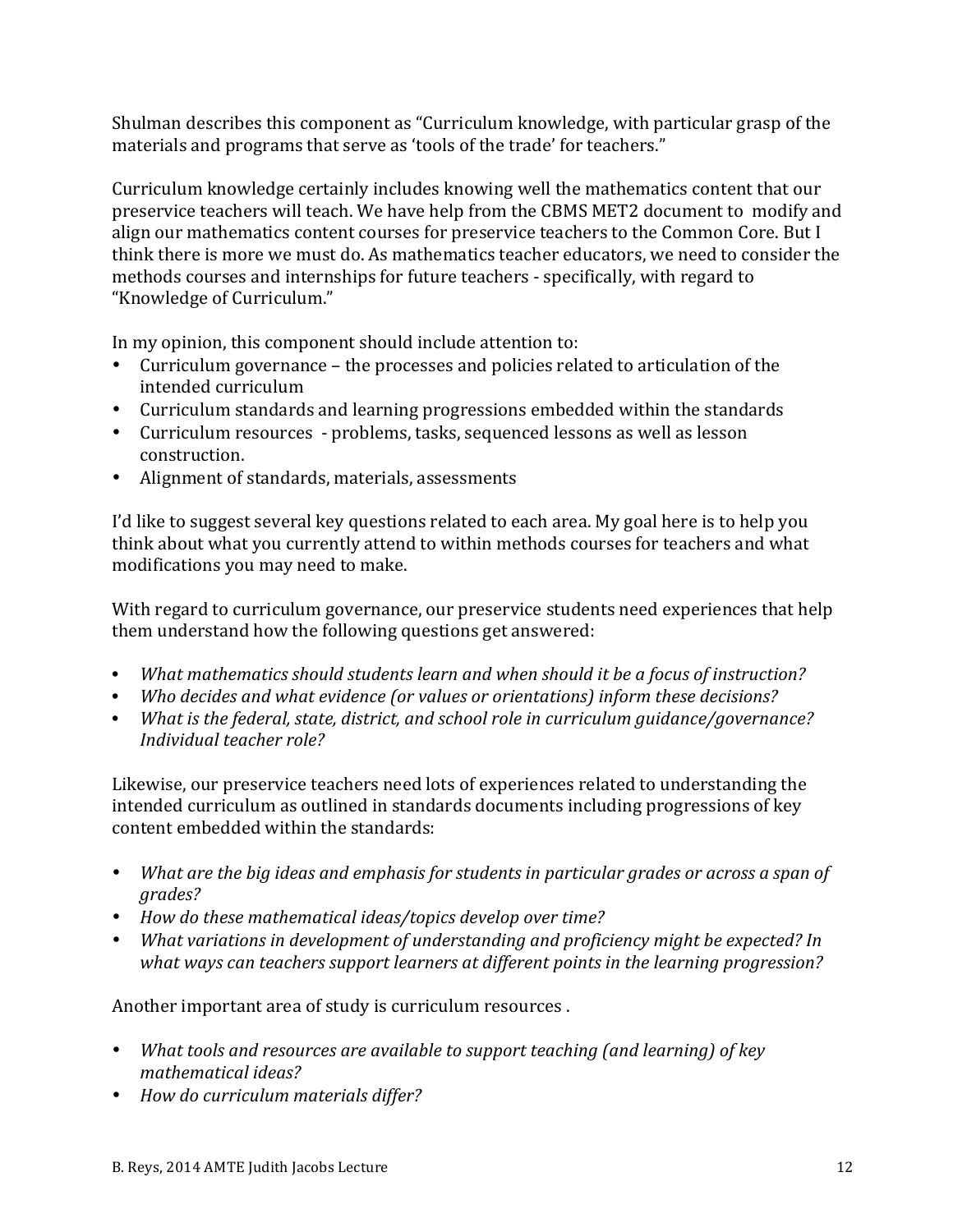Shulman describes this component as "Curriculum knowledge, with particular grasp of the materials and programs that serve as 'tools of the trade' for teachers."

Curriculum knowledge certainly includes knowing well the mathematics content that our preservice teachers will teach. We have help from the CBMS MET2 document to modify and align our mathematics content courses for preservice teachers to the Common Core. But I think there is more we must do. As mathematics teacher educators, we need to consider the methods courses and internships for future teachers - specifically, with regard to "Knowledge of Curriculum."

In my opinion, this component should include attention to:

- Curriculum governance the processes and policies related to articulation of the intended curriculum
- Curriculum standards and learning progressions embedded within the standards
- Curriculum resources problems, tasks, sequenced lessons as well as lesson construction.
- Alignment of standards, materials, assessments

I'd like to suggest several key questions related to each area. My goal here is to help you think about what you currently attend to within methods courses for teachers and what modifications you may need to make.

With regard to curriculum governance, our preservice students need experiences that help them understand how the following questions get answered:

- *What mathematics should students learn and when should it be a focus of instruction?*
- *Who decides and what evidence (or values or orientations) inform these decisions?*
- *What is the federal, state, district, and school role in curriculum guidance/governance? Individual teacher role?*

Likewise, our preservice teachers need lots of experiences related to understanding the intended curriculum as outlined in standards documents including progressions of key content embedded within the standards:

- *What are the big ideas and emphasis for students in particular grades or across a span of grades?*
- *How do these mathematical ideas/topics develop over time?*
- *What variations in development of understanding and proficiency might be expected? In what* ways can teachers support learners at different points in the learning progression?

Another important area of study is curriculum resources .

- *What tools and resources are available to support teaching (and learning) of key mathematical ideas?*
- *How do curriculum materials differ?*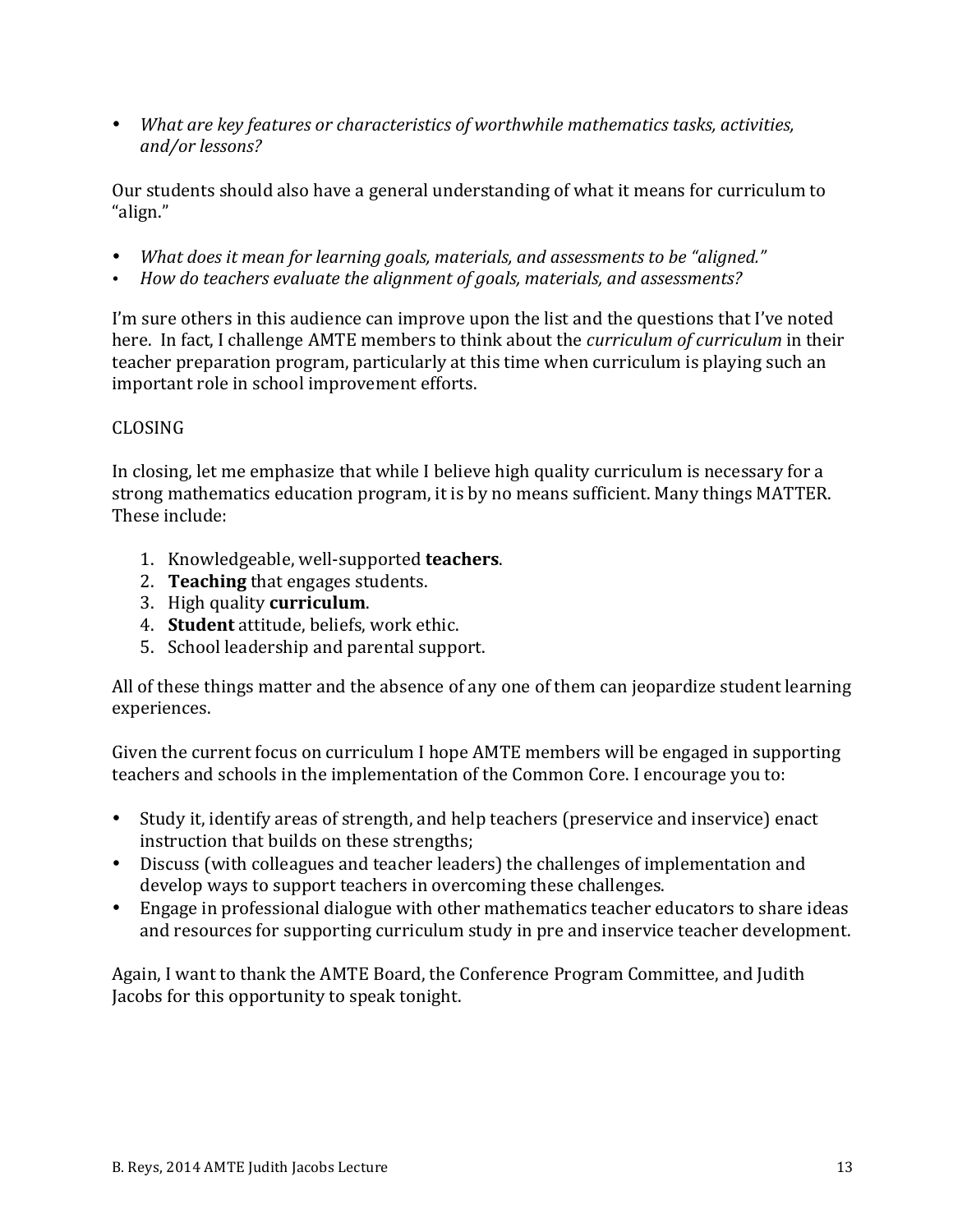• *What are key features or characteristics of worthwhile mathematics tasks, activities, and/or lessons?*

Our students should also have a general understanding of what it means for curriculum to "align." 

- *What does it mean for learning goals, materials, and assessments to be "aligned."*
- *How do teachers evaluate the alignment of goals, materials, and assessments?*

I'm sure others in this audience can improve upon the list and the questions that I've noted here. In fact, I challenge AMTE members to think about the *curriculum of curriculum* in their teacher preparation program, particularly at this time when curriculum is playing such an important role in school improvement efforts.

## CLOSING

In closing, let me emphasize that while I believe high quality curriculum is necessary for a strong mathematics education program, it is by no means sufficient. Many things MATTER. These include:

- 1. Knowledgeable, well-supported **teachers**.
- 2. **Teaching** that engages students.
- 3. High quality **curriculum**.
- 4. **Student** attitude, beliefs, work ethic.
- 5. School leadership and parental support.

All of these things matter and the absence of any one of them can jeopardize student learning experiences. 

Given the current focus on curriculum I hope AMTE members will be engaged in supporting teachers and schools in the implementation of the Common Core. I encourage you to:

- Study it, identify areas of strength, and help teachers (preservice and inservice) enact instruction that builds on these strengths;
- Discuss (with colleagues and teacher leaders) the challenges of implementation and develop ways to support teachers in overcoming these challenges.
- Engage in professional dialogue with other mathematics teacher educators to share ideas and resources for supporting curriculum study in pre and inservice teacher development.

Again, I want to thank the AMTE Board, the Conference Program Committee, and Judith Jacobs for this opportunity to speak tonight.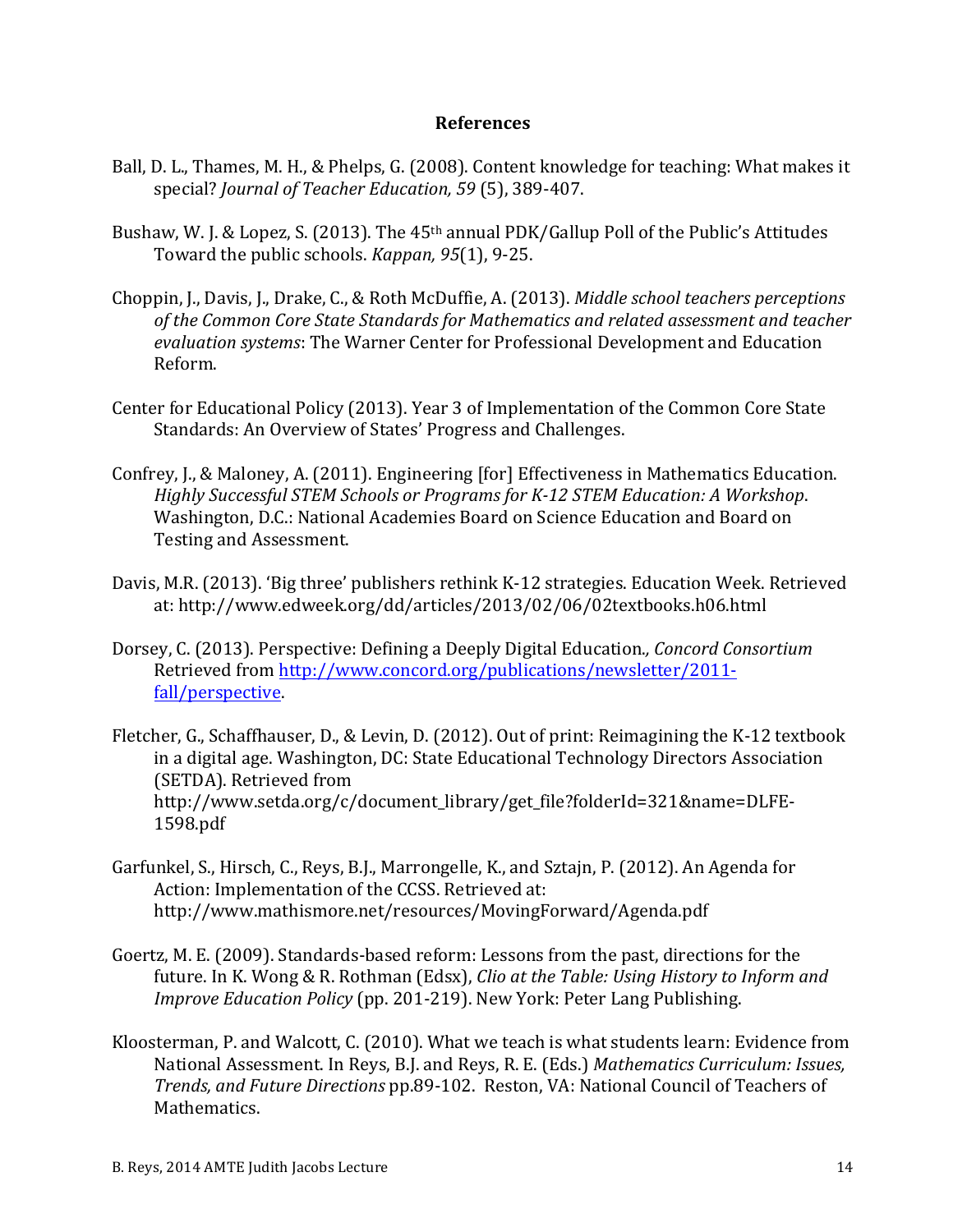#### **References**

- Ball, D. L., Thames, M. H., & Phelps, G. (2008). Content knowledge for teaching: What makes it special? *Journal of Teacher Education,* 59 (5), 389-407.
- Bushaw, W. J. & Lopez, S. (2013). The  $45<sup>th</sup>$  annual PDK/Gallup Poll of the Public's Attitudes Toward the public schools. *Kappan*, 95(1), 9-25.
- Choppin, J., Davis, J., Drake, C., & Roth McDuffie, A. (2013). *Middle school teachers perceptions* of the Common Core State Standards for Mathematics and related assessment and teacher evaluation systems: The Warner Center for Professional Development and Education Reform.
- Center for Educational Policy (2013). Year 3 of Implementation of the Common Core State Standards: An Overview of States' Progress and Challenges.
- Confrey, J., & Maloney, A. (2011). Engineering [for] Effectiveness in Mathematics Education. *Highly Successful STEM Schools or Programs for K-12 STEM Education: A Workshop.* Washington, D.C.: National Academies Board on Science Education and Board on Testing and Assessment.
- Davis, M.R. (2013). 'Big three' publishers rethink K-12 strategies. Education Week. Retrieved at: http://www.edweek.org/dd/articles/2013/02/06/02textbooks.h06.html
- Dorsey, C. (2013). Perspective: Defining a Deeply Digital Education., *Concord Consortium* Retrieved from http://www.concord.org/publications/newsletter/2011fall/perspective.
- Fletcher, G., Schaffhauser, D., & Levin, D. (2012). Out of print: Reimagining the K-12 textbook in a digital age. Washington, DC: State Educational Technology Directors Association (SETDA). Retrieved from http://www.setda.org/c/document\_library/get\_file?folderId=321&name=DLFE-1598.pdf
- Garfunkel, S., Hirsch, C., Reys, B.J., Marrongelle, K., and Sztajn, P. (2012). An Agenda for Action: Implementation of the CCSS. Retrieved at: http://www.mathismore.net/resources/MovingForward/Agenda.pdf
- Goertz, M. E. (2009). Standards-based reform: Lessons from the past, directions for the future. In K. Wong & R. Rothman (Edsx), *Clio at the Table: Using History to Inform and Improve Education Policy* (pp. 201-219). New York: Peter Lang Publishing.
- Kloosterman, P. and Walcott, C. (2010). What we teach is what students learn: Evidence from National Assessment. In Reys, B.J. and Reys, R. E. (Eds.) Mathematics Curriculum: Issues, *Trends, and Future Directions* pp.89-102. Reston, VA: National Council of Teachers of Mathematics.